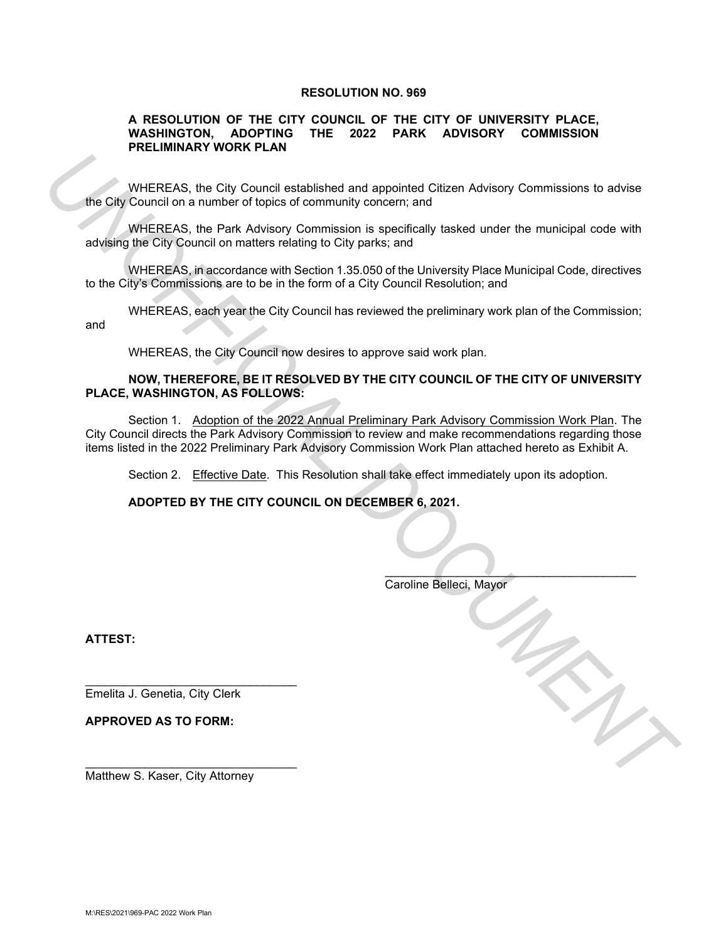## **RESOLUTION NO. 969**

## **A RESOLUTION OF THE CITY COUNCIL OF THE CITY OF UNIVERSITY PLACE, WASHINGTON, ADOPTING THE 2022 PARK ADVISORY COMMISSION PRELIMINARY WORK PLAN**

WHEREAS, the City Council established and appointed Citizen Advisory Commissions to advise the City Council on a number of topics of community concern; and

WHEREAS, the Park Advisory Commission is specifically tasked under the municipal code with advising the City Council on matters relating to City parks; and

WHEREAS, in accordance with Section 1.35.050 of the University Place Municipal Code, directives to the City's Commissions are to be in the form of a City Council Resolution; and

WHEREAS, each year the City Council has reviewed the preliminary work plan of the Commission; and

WHEREAS, the City Council now desires to approve said work plan.

## **NOW, THEREFORE, BE IT RESOLVED BY THE CITY COUNCIL OF THE CITY OF UNIVERSITY PLACE, WASHINGTON, AS FOLLOWS:**

Section 1. Adoption of the 2022 Annual Preliminary Park Advisory Commission Work Plan. The City Council directs the Park Advisory Commission to review and make recommendations regarding those items listed in the 2022 Preliminary Park Advisory Commission Work Plan attached hereto as Exhibit A. **The Case of the City Council established and apopined Citizen Advisory Commissions to advise<br>
The Case Case Case Case of community concerns and<br>
advisory Commission is a specifically lasked under the municipal code with<br>** 

Section 2. Effective Date. This Resolution shall take effect immediately upon its adoption.

 $\overline{\phantom{a}}$ 

**ADOPTED BY THE CITY COUNCIL ON DECEMBER 6, 2021.** 

Caroline Belleci, Mayor

**ATTEST:**

j

Emelita J. Genetia, City Clerk

\_\_\_\_\_\_\_\_\_\_\_\_\_\_\_\_\_\_\_\_\_\_\_\_\_\_\_\_\_\_\_\_

\_\_\_\_\_\_\_\_\_\_\_\_\_\_\_\_\_\_\_\_\_\_\_\_\_\_\_\_\_\_\_\_

**APPROVED AS TO FORM:**

Matthew S. Kaser, City Attorney